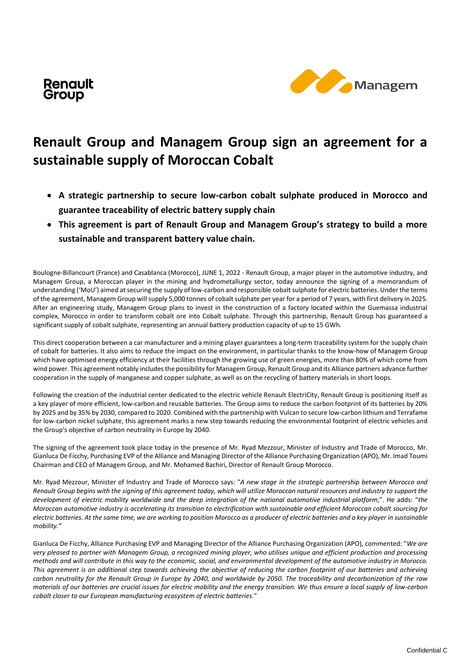



## **Renault Group and Managem Group sign an agreement for a sustainable supply of Moroccan Cobalt**

- **A strategic partnership to secure low-carbon cobalt sulphate produced in Morocco and guarantee traceability of electric battery supply chain**
- **This agreement is part of Renault Group and Managem Group's strategy to build a more sustainable and transparent battery value chain.**

Boulogne-Billancourt (France) and Casablanca (Morocco), JUNE 1, 2022 - Renault Group, a major player in the automotive industry, and Managem Group, a Moroccan player in the mining and hydrometallurgy sector, today announce the signing of a memorandum of understanding ('MoU') aimed at securing the supply of low-carbon and responsible cobalt sulphate for electric batteries. Under the terms of the agreement, Managem Group will supply 5,000 tonnes of cobalt sulphate per year for a period of 7 years, with first delivery in 2025. After an engineering study, Managem Group plans to invest in the construction of a factory located within the Guemassa industrial complex, Morocco in order to transform cobalt ore into Cobalt sulphate. Through this partnership, Renault Group has guaranteed a significant supply of cobalt sulphate, representing an annual battery production capacity of up to 15 GWh.

This direct cooperation between a car manufacturer and a mining player guarantees a long-term traceability system for the supply chain of cobalt for batteries. It also aims to reduce the impact on the environment, in particular thanks to the know-how of Managem Group which have optimised energy efficiency at their facilities through the growing use of green energies, more than 80% of which come from wind power. This agreement notably includes the possibility for Managem Group, Renault Group and its Alliance partners advance further cooperation in the supply of manganese and copper sulphate, as well as on the recycling of battery materials in short loops.

Following the creation of the industrial center dedicated to the electric vehicle Renault ElectriCity, Renault Group is positioning itself as a key player of more efficient, low-carbon and reusable batteries. The Group aims to reduce the carbon footprint of its batteries by 20% by 2025 and by 35% by 2030, compared to 2020. Combined with the partnership with Vulcan to secure low-carbon lithium and Terrafame for low-carbon nickel sulphate, this agreement marks a new step towards reducing the environmental footprint of electric vehicles and the Group's objective of carbon neutrality in Europe by 2040.

The signing of the agreement took place today in the presence of Mr. Ryad Mezzour, Minister of Industry and Trade of Morocco, Mr. Gianluca De Ficchy, Purchasing EVP of the Alliance and Managing Director of the Alliance Purchasing Organization (APO), Mr. Imad Toumi Chairman and CEO of Managem Group, and Mr. Mohamed Bachiri, Director of Renault Group Morocco.

Mr. Ryad Mezzour, Minister of Industry and Trade of Morocco says: "*A new stage in the strategic partnership between Morocco and Renault Group begins with the signing of this agreement today, which will utilize Moroccan natural resources and industry to support the development of electric mobility worldwide and the deep integration of the national automotive industrial platform*,". He adds: "*the Moroccan automotive industry is accelerating its transition to electrification with sustainable and efficient Moroccan cobalt sourcing for electric batteries. At the same time, we are working to position Morocco as a producer of electric batteries and a key player in sustainable mobility."*

Gianluca De Ficchy, Alliance Purchasing EVP and Managing Director of the Alliance Purchasing Organization (APO), commented: "*We are very pleased to partner with Managem Group, a recognized mining player, who utilises unique and efficient production and processing methods and will contribute in this way to the economic, social, and environmental development of the automotive industry in Morocco. This agreement is an additional step towards achieving the objective of reducing the carbon footprint of our batteries and achieving carbon neutrality for the Renault Group in Europe by 2040, and worldwide by 2050. The traceability and decarbonization of the raw materials of our batteries are crucial issues for electric mobility and the energy transition. We thus ensure a local supply of low-carbon cobalt closer to our European manufacturing ecosystem of electric batteries.*"